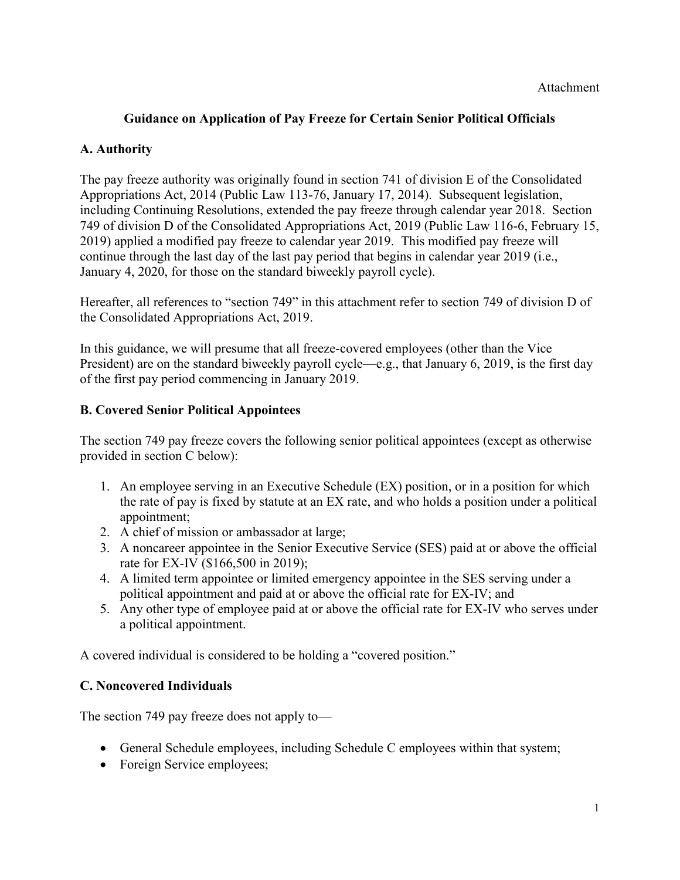## **Guidance on Application of Pay Freeze for Certain Senior Political Officials**

### **A. Authority**

The pay freeze authority was originally found in section 741 of division E of the Consolidated Appropriations Act, 2014 (Public Law 113-76, January 17, 2014). Subsequent legislation, including Continuing Resolutions, extended the pay freeze through calendar year 2018. Section 749 of division D of the Consolidated Appropriations Act, 2019 (Public Law 116-6, February 15, 2019) applied a modified pay freeze to calendar year 2019. This modified pay freeze will continue through the last day of the last pay period that begins in calendar year 2019 (i.e., January 4, 2020, for those on the standard biweekly payroll cycle).

Hereafter, all references to "section 749" in this attachment refer to section 749 of division D of the Consolidated Appropriations Act, 2019.

In this guidance, we will presume that all freeze-covered employees (other than the Vice President) are on the standard biweekly payroll cycle—e.g., that January 6, 2019, is the first day of the first pay period commencing in January 2019.

#### **B. Covered Senior Political Appointees**

The section 749 pay freeze covers the following senior political appointees (except as otherwise provided in section C below):

- 1. An employee serving in an Executive Schedule (EX) position, or in a position for which the rate of pay is fixed by statute at an EX rate, and who holds a position under a political appointment;
- 2. A chief of mission or ambassador at large;
- 3. A noncareer appointee in the Senior Executive Service (SES) paid at or above the official rate for EX-IV (\$166,500 in 2019);
- 4. A limited term appointee or limited emergency appointee in the SES serving under a political appointment and paid at or above the official rate for EX-IV; and
- 5. Any other type of employee paid at or above the official rate for EX-IV who serves under a political appointment.

A covered individual is considered to be holding a "covered position."

## **C. Noncovered Individuals**

The section 749 pay freeze does not apply to—

- General Schedule employees, including Schedule C employees within that system;
- Foreign Service employees;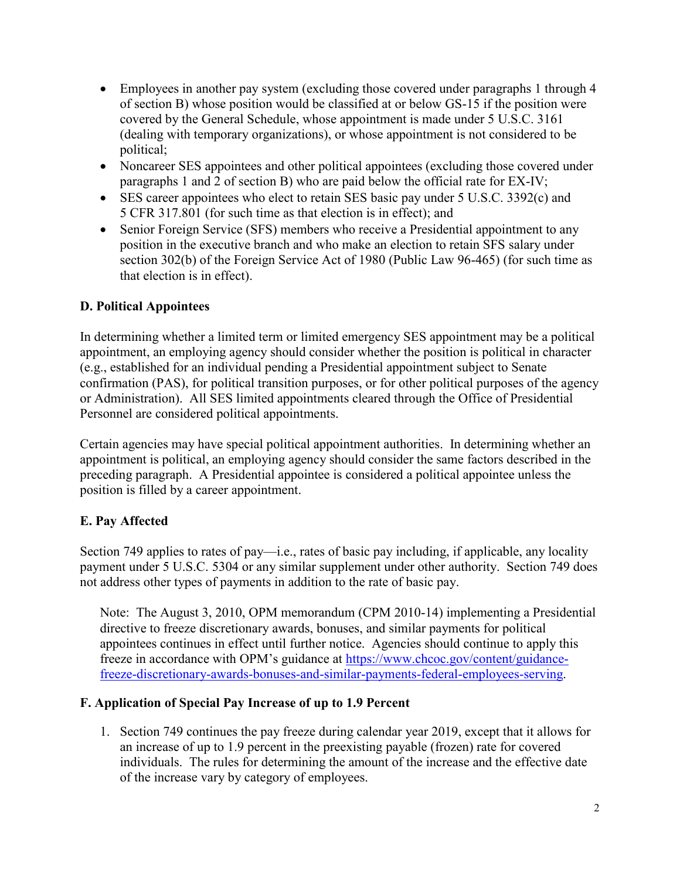- Employees in another pay system (excluding those covered under paragraphs 1 through 4 of section B) whose position would be classified at or below GS-15 if the position were covered by the General Schedule, whose appointment is made under 5 U.S.C. 3161 (dealing with temporary organizations), or whose appointment is not considered to be political;
- Noncareer SES appointees and other political appointees (excluding those covered under paragraphs 1 and 2 of section B) who are paid below the official rate for EX-IV;
- SES career appointees who elect to retain SES basic pay under 5 U.S.C. 3392(c) and 5 CFR 317.801 (for such time as that election is in effect); and
- Senior Foreign Service (SFS) members who receive a Presidential appointment to any position in the executive branch and who make an election to retain SFS salary under section 302(b) of the Foreign Service Act of 1980 (Public Law 96-465) (for such time as that election is in effect).

## **D. Political Appointees**

In determining whether a limited term or limited emergency SES appointment may be a political appointment, an employing agency should consider whether the position is political in character (e.g., established for an individual pending a Presidential appointment subject to Senate confirmation (PAS), for political transition purposes, or for other political purposes of the agency or Administration). All SES limited appointments cleared through the Office of Presidential Personnel are considered political appointments.

Certain agencies may have special political appointment authorities. In determining whether an appointment is political, an employing agency should consider the same factors described in the preceding paragraph. A Presidential appointee is considered a political appointee unless the position is filled by a career appointment.

# **E. Pay Affected**

Section 749 applies to rates of pay—i.e., rates of basic pay including, if applicable, any locality payment under 5 U.S.C. 5304 or any similar supplement under other authority. Section 749 does not address other types of payments in addition to the rate of basic pay.

Note: The August 3, 2010, OPM memorandum (CPM 2010-14) implementing a Presidential directive to freeze discretionary awards, bonuses, and similar payments for political appointees continues in effect until further notice. Agencies should continue to apply this freeze in accordance with OPM's guidance at [https://www.chcoc.gov/content/guidance](https://www.chcoc.gov/content/guidance-freeze-discretionary-awards-bonuses-and-similar-payments-federal-employees-serving)[freeze-discretionary-awards-bonuses-and-similar-payments-federal-employees-serving.](https://www.chcoc.gov/content/guidance-freeze-discretionary-awards-bonuses-and-similar-payments-federal-employees-serving)

## **F. Application of Special Pay Increase of up to 1.9 Percent**

1. Section 749 continues the pay freeze during calendar year 2019, except that it allows for an increase of up to 1.9 percent in the preexisting payable (frozen) rate for covered individuals. The rules for determining the amount of the increase and the effective date of the increase vary by category of employees.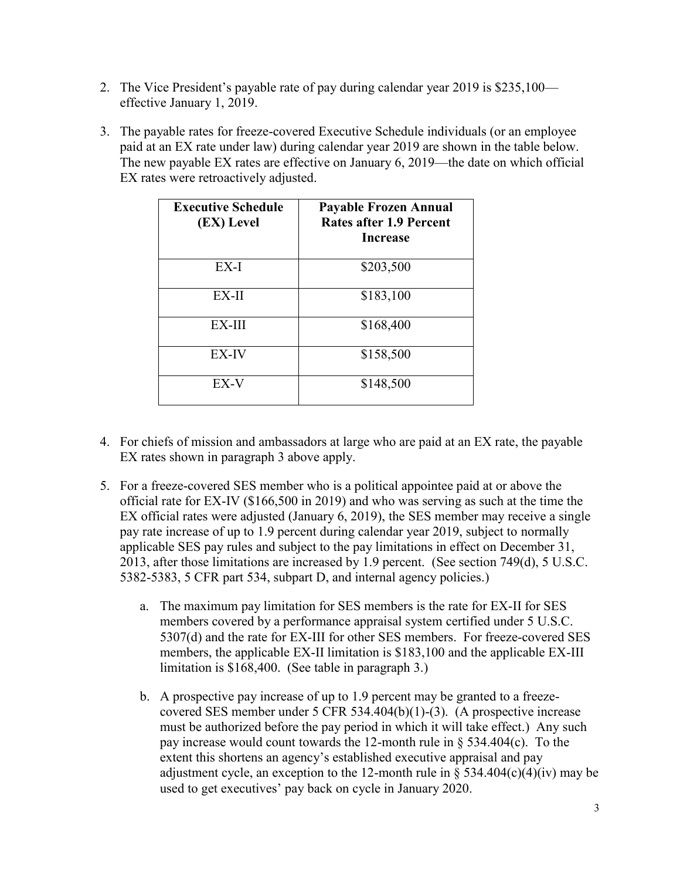- 2. The Vice President's payable rate of pay during calendar year 2019 is \$235,100 effective January 1, 2019.
- 3. The payable rates for freeze-covered Executive Schedule individuals (or an employee paid at an EX rate under law) during calendar year 2019 are shown in the table below. The new payable EX rates are effective on January 6, 2019—the date on which official EX rates were retroactively adjusted.

| <b>Executive Schedule</b><br>(EX) Level | <b>Payable Frozen Annual</b><br><b>Rates after 1.9 Percent</b><br><b>Increase</b> |
|-----------------------------------------|-----------------------------------------------------------------------------------|
| EX-I                                    | \$203,500                                                                         |
| EX-II                                   | \$183,100                                                                         |
| EX-III                                  | \$168,400                                                                         |
| EX-IV                                   | \$158,500                                                                         |
| EX-V                                    | \$148,500                                                                         |

- 4. For chiefs of mission and ambassadors at large who are paid at an EX rate, the payable EX rates shown in paragraph 3 above apply.
- 5. For a freeze-covered SES member who is a political appointee paid at or above the official rate for EX-IV (\$166,500 in 2019) and who was serving as such at the time the EX official rates were adjusted (January 6, 2019), the SES member may receive a single pay rate increase of up to 1.9 percent during calendar year 2019, subject to normally applicable SES pay rules and subject to the pay limitations in effect on December 31, 2013, after those limitations are increased by 1.9 percent. (See section 749(d), 5 U.S.C. 5382-5383, 5 CFR part 534, subpart D, and internal agency policies.)
	- a. The maximum pay limitation for SES members is the rate for EX-II for SES members covered by a performance appraisal system certified under 5 U.S.C. 5307(d) and the rate for EX-III for other SES members. For freeze-covered SES members, the applicable EX-II limitation is \$183,100 and the applicable EX-III limitation is \$168,400. (See table in paragraph 3.)
	- b. A prospective pay increase of up to 1.9 percent may be granted to a freezecovered SES member under 5 CFR 534.404(b)(1)-(3). (A prospective increase must be authorized before the pay period in which it will take effect.) Any such pay increase would count towards the 12-month rule in § 534.404(c). To the extent this shortens an agency's established executive appraisal and pay adjustment cycle, an exception to the 12-month rule in  $\S$  534.404(c)(4)(iv) may be used to get executives' pay back on cycle in January 2020.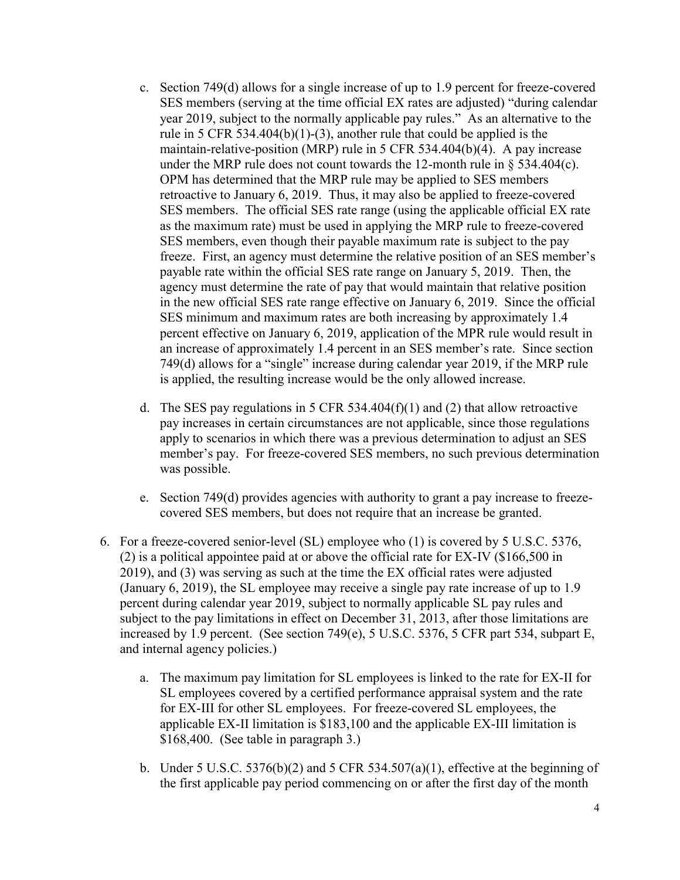- c. Section 749(d) allows for a single increase of up to 1.9 percent for freeze-covered SES members (serving at the time official EX rates are adjusted) "during calendar year 2019, subject to the normally applicable pay rules." As an alternative to the rule in 5 CFR 534.404(b)(1)-(3), another rule that could be applied is the maintain-relative-position (MRP) rule in 5 CFR 534.404(b)(4). A pay increase under the MRP rule does not count towards the 12-month rule in  $\S$  534.404(c). OPM has determined that the MRP rule may be applied to SES members retroactive to January 6, 2019. Thus, it may also be applied to freeze-covered SES members. The official SES rate range (using the applicable official EX rate as the maximum rate) must be used in applying the MRP rule to freeze-covered SES members, even though their payable maximum rate is subject to the pay freeze. First, an agency must determine the relative position of an SES member's payable rate within the official SES rate range on January 5, 2019. Then, the agency must determine the rate of pay that would maintain that relative position in the new official SES rate range effective on January 6, 2019. Since the official SES minimum and maximum rates are both increasing by approximately 1.4 percent effective on January 6, 2019, application of the MPR rule would result in an increase of approximately 1.4 percent in an SES member's rate. Since section 749(d) allows for a "single" increase during calendar year 2019, if the MRP rule is applied, the resulting increase would be the only allowed increase.
- d. The SES pay regulations in 5 CFR 534.404(f)(1) and (2) that allow retroactive pay increases in certain circumstances are not applicable, since those regulations apply to scenarios in which there was a previous determination to adjust an SES member's pay. For freeze-covered SES members, no such previous determination was possible.
- e. Section 749(d) provides agencies with authority to grant a pay increase to freezecovered SES members, but does not require that an increase be granted.
- 6. For a freeze-covered senior-level (SL) employee who (1) is covered by 5 U.S.C. 5376, (2) is a political appointee paid at or above the official rate for EX-IV (\$166,500 in 2019), and (3) was serving as such at the time the EX official rates were adjusted (January 6, 2019), the SL employee may receive a single pay rate increase of up to 1.9 percent during calendar year 2019, subject to normally applicable SL pay rules and subject to the pay limitations in effect on December 31, 2013, after those limitations are increased by 1.9 percent. (See section 749(e), 5 U.S.C. 5376, 5 CFR part 534, subpart E, and internal agency policies.)
	- a. The maximum pay limitation for SL employees is linked to the rate for EX-II for SL employees covered by a certified performance appraisal system and the rate for EX-III for other SL employees. For freeze-covered SL employees, the applicable EX-II limitation is \$183,100 and the applicable EX-III limitation is \$168,400. (See table in paragraph 3.)
	- b. Under 5 U.S.C. 5376(b)(2) and 5 CFR 534.507(a)(1), effective at the beginning of the first applicable pay period commencing on or after the first day of the month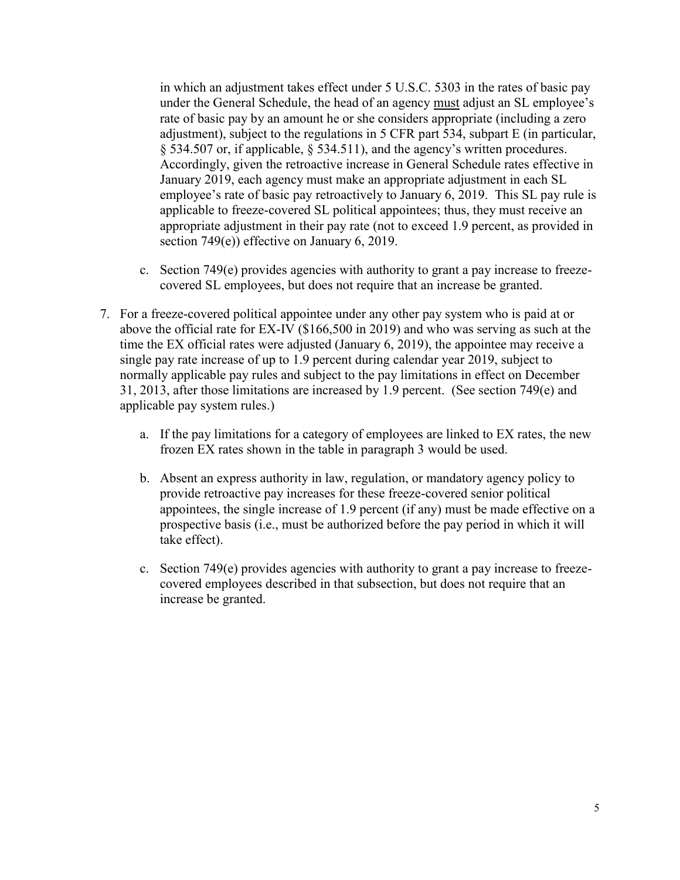in which an adjustment takes effect under 5 U.S.C. 5303 in the rates of basic pay under the General Schedule, the head of an agency must adjust an SL employee's rate of basic pay by an amount he or she considers appropriate (including a zero adjustment), subject to the regulations in 5 CFR part 534, subpart E (in particular, § 534.507 or, if applicable, § 534.511), and the agency's written procedures. Accordingly, given the retroactive increase in General Schedule rates effective in January 2019, each agency must make an appropriate adjustment in each SL employee's rate of basic pay retroactively to January 6, 2019. This SL pay rule is applicable to freeze-covered SL political appointees; thus, they must receive an appropriate adjustment in their pay rate (not to exceed 1.9 percent, as provided in section 749(e)) effective on January 6, 2019.

- c. Section 749(e) provides agencies with authority to grant a pay increase to freezecovered SL employees, but does not require that an increase be granted.
- 7. For a freeze-covered political appointee under any other pay system who is paid at or above the official rate for EX-IV (\$166,500 in 2019) and who was serving as such at the time the EX official rates were adjusted (January 6, 2019), the appointee may receive a single pay rate increase of up to 1.9 percent during calendar year 2019, subject to normally applicable pay rules and subject to the pay limitations in effect on December 31, 2013, after those limitations are increased by 1.9 percent. (See section 749(e) and applicable pay system rules.)
	- a. If the pay limitations for a category of employees are linked to EX rates, the new frozen EX rates shown in the table in paragraph 3 would be used.
	- b. Absent an express authority in law, regulation, or mandatory agency policy to provide retroactive pay increases for these freeze-covered senior political appointees, the single increase of 1.9 percent (if any) must be made effective on a prospective basis (i.e., must be authorized before the pay period in which it will take effect).
	- c. Section 749(e) provides agencies with authority to grant a pay increase to freezecovered employees described in that subsection, but does not require that an increase be granted.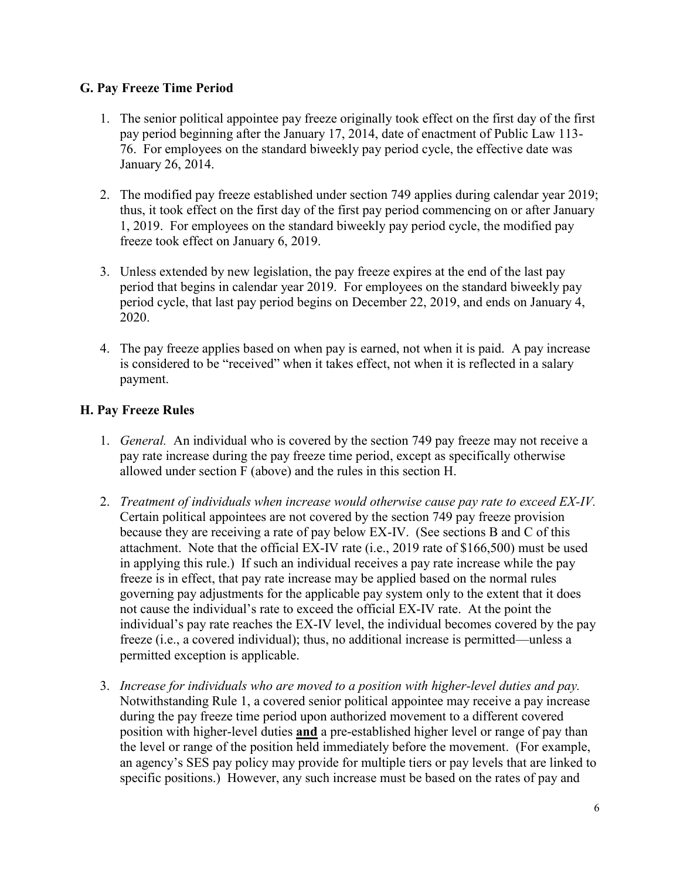#### **G. Pay Freeze Time Period**

- 1. The senior political appointee pay freeze originally took effect on the first day of the first pay period beginning after the January 17, 2014, date of enactment of Public Law 113- 76. For employees on the standard biweekly pay period cycle, the effective date was January 26, 2014.
- 2. The modified pay freeze established under section 749 applies during calendar year 2019; thus, it took effect on the first day of the first pay period commencing on or after January 1, 2019. For employees on the standard biweekly pay period cycle, the modified pay freeze took effect on January 6, 2019.
- 3. Unless extended by new legislation, the pay freeze expires at the end of the last pay period that begins in calendar year 2019. For employees on the standard biweekly pay period cycle, that last pay period begins on December 22, 2019, and ends on January 4, 2020.
- 4. The pay freeze applies based on when pay is earned, not when it is paid. A pay increase is considered to be "received" when it takes effect, not when it is reflected in a salary payment.

## **H. Pay Freeze Rules**

- 1. *General.* An individual who is covered by the section 749 pay freeze may not receive a pay rate increase during the pay freeze time period, except as specifically otherwise allowed under section F (above) and the rules in this section H.
- 2. *Treatment of individuals when increase would otherwise cause pay rate to exceed EX-IV.*  Certain political appointees are not covered by the section 749 pay freeze provision because they are receiving a rate of pay below EX-IV. (See sections B and C of this attachment. Note that the official EX-IV rate (i.e., 2019 rate of \$166,500) must be used in applying this rule.) If such an individual receives a pay rate increase while the pay freeze is in effect, that pay rate increase may be applied based on the normal rules governing pay adjustments for the applicable pay system only to the extent that it does not cause the individual's rate to exceed the official EX-IV rate. At the point the individual's pay rate reaches the EX-IV level, the individual becomes covered by the pay freeze (i.e., a covered individual); thus, no additional increase is permitted—unless a permitted exception is applicable.
- 3. *Increase for individuals who are moved to a position with higher-level duties and pay.*  Notwithstanding Rule 1, a covered senior political appointee may receive a pay increase during the pay freeze time period upon authorized movement to a different covered position with higher-level duties **and** a pre-established higher level or range of pay than the level or range of the position held immediately before the movement. (For example, an agency's SES pay policy may provide for multiple tiers or pay levels that are linked to specific positions.) However, any such increase must be based on the rates of pay and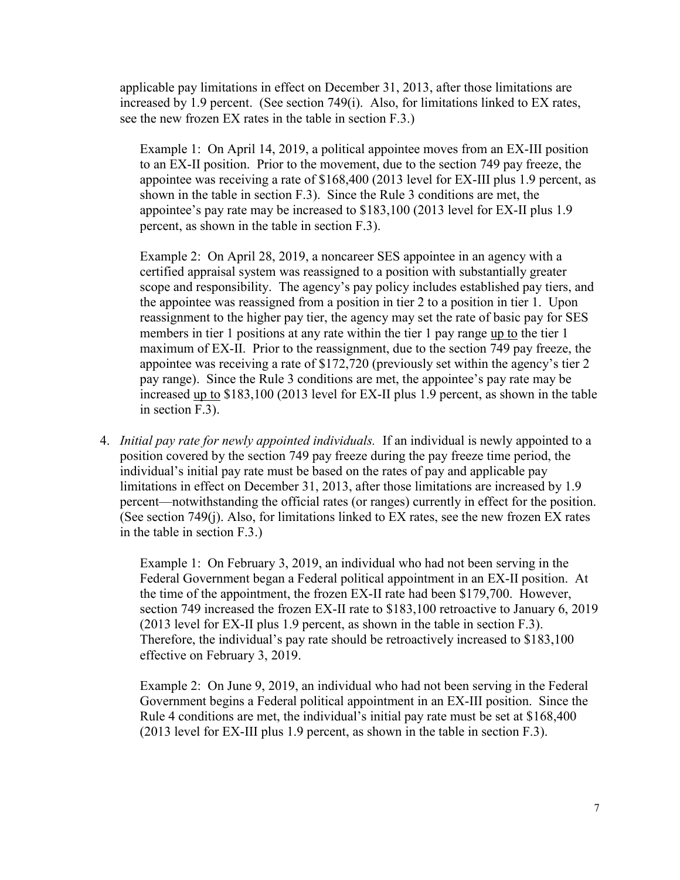applicable pay limitations in effect on December 31, 2013, after those limitations are increased by 1.9 percent. (See section 749(i). Also, for limitations linked to EX rates, see the new frozen EX rates in the table in section F.3.)

Example 1: On April 14, 2019, a political appointee moves from an EX-III position to an EX-II position. Prior to the movement, due to the section 749 pay freeze, the appointee was receiving a rate of \$168,400 (2013 level for EX-III plus 1.9 percent, as shown in the table in section F.3). Since the Rule 3 conditions are met, the appointee's pay rate may be increased to \$183,100 (2013 level for EX-II plus 1.9 percent, as shown in the table in section F.3).

Example 2: On April 28, 2019, a noncareer SES appointee in an agency with a certified appraisal system was reassigned to a position with substantially greater scope and responsibility. The agency's pay policy includes established pay tiers, and the appointee was reassigned from a position in tier 2 to a position in tier 1. Upon reassignment to the higher pay tier, the agency may set the rate of basic pay for SES members in tier 1 positions at any rate within the tier 1 pay range up to the tier 1 maximum of EX-II. Prior to the reassignment, due to the section 749 pay freeze, the appointee was receiving a rate of \$172,720 (previously set within the agency's tier 2 pay range). Since the Rule 3 conditions are met, the appointee's pay rate may be increased up to \$183,100 (2013 level for EX-II plus 1.9 percent, as shown in the table in section F.3).

4. *Initial pay rate for newly appointed individuals.* If an individual is newly appointed to a position covered by the section 749 pay freeze during the pay freeze time period, the individual's initial pay rate must be based on the rates of pay and applicable pay limitations in effect on December 31, 2013, after those limitations are increased by 1.9 percent—notwithstanding the official rates (or ranges) currently in effect for the position. (See section 749(j). Also, for limitations linked to EX rates, see the new frozen EX rates in the table in section F.3.)

Example 1: On February 3, 2019, an individual who had not been serving in the Federal Government began a Federal political appointment in an EX-II position. At the time of the appointment, the frozen EX-II rate had been \$179,700. However, section 749 increased the frozen EX-II rate to \$183,100 retroactive to January 6, 2019 (2013 level for EX-II plus 1.9 percent, as shown in the table in section F.3). Therefore, the individual's pay rate should be retroactively increased to \$183,100 effective on February 3, 2019.

Example 2: On June 9, 2019, an individual who had not been serving in the Federal Government begins a Federal political appointment in an EX-III position. Since the Rule 4 conditions are met, the individual's initial pay rate must be set at \$168,400 (2013 level for EX-III plus 1.9 percent, as shown in the table in section F.3).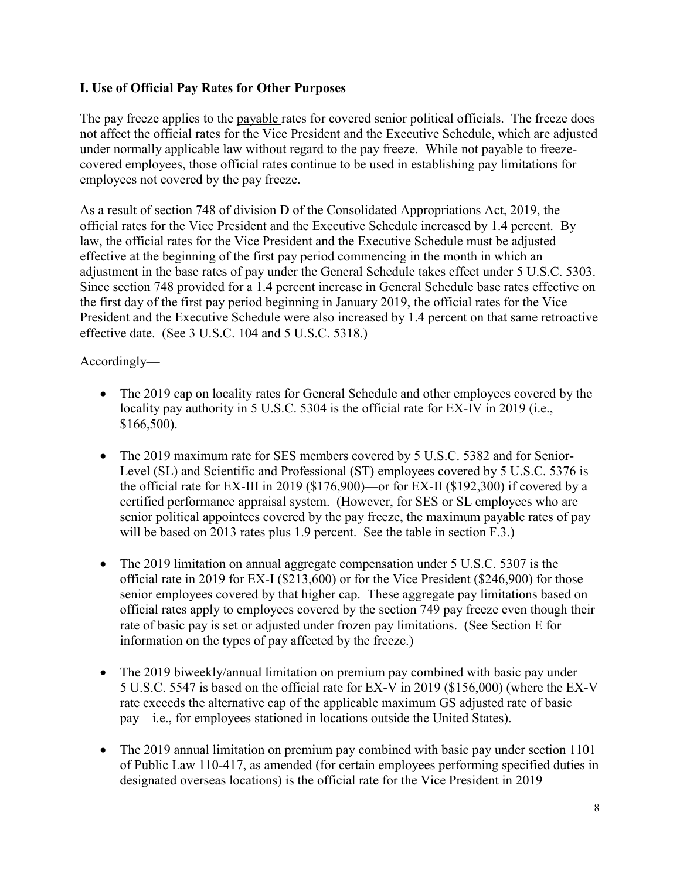#### **I. Use of Official Pay Rates for Other Purposes**

The pay freeze applies to the payable rates for covered senior political officials. The freeze does not affect the official rates for the Vice President and the Executive Schedule, which are adjusted under normally applicable law without regard to the pay freeze. While not payable to freezecovered employees, those official rates continue to be used in establishing pay limitations for employees not covered by the pay freeze.

As a result of section 748 of division D of the Consolidated Appropriations Act, 2019, the official rates for the Vice President and the Executive Schedule increased by 1.4 percent. By law, the official rates for the Vice President and the Executive Schedule must be adjusted effective at the beginning of the first pay period commencing in the month in which an adjustment in the base rates of pay under the General Schedule takes effect under 5 U.S.C. 5303. Since section 748 provided for a 1.4 percent increase in General Schedule base rates effective on the first day of the first pay period beginning in January 2019, the official rates for the Vice President and the Executive Schedule were also increased by 1.4 percent on that same retroactive effective date. (See 3 U.S.C. 104 and 5 U.S.C. 5318.)

### Accordingly—

- The 2019 cap on locality rates for General Schedule and other employees covered by the locality pay authority in 5 U.S.C. 5304 is the official rate for EX-IV in 2019 (i.e., \$166,500).
- The 2019 maximum rate for SES members covered by 5 U.S.C. 5382 and for Senior-Level (SL) and Scientific and Professional (ST) employees covered by 5 U.S.C. 5376 is the official rate for EX-III in 2019 (\$176,900)—or for EX-II (\$192,300) if covered by a certified performance appraisal system. (However, for SES or SL employees who are senior political appointees covered by the pay freeze, the maximum payable rates of pay will be based on 2013 rates plus 1.9 percent. See the table in section F.3.)
- The 2019 limitation on annual aggregate compensation under 5 U.S.C. 5307 is the official rate in 2019 for EX-I (\$213,600) or for the Vice President (\$246,900) for those senior employees covered by that higher cap. These aggregate pay limitations based on official rates apply to employees covered by the section 749 pay freeze even though their rate of basic pay is set or adjusted under frozen pay limitations. (See Section E for information on the types of pay affected by the freeze.)
- The 2019 biweekly/annual limitation on premium pay combined with basic pay under 5 U.S.C. 5547 is based on the official rate for EX-V in 2019 (\$156,000) (where the EX-V rate exceeds the alternative cap of the applicable maximum GS adjusted rate of basic pay—i.e., for employees stationed in locations outside the United States).
- The 2019 annual limitation on premium pay combined with basic pay under section 1101 of Public Law 110-417, as amended (for certain employees performing specified duties in designated overseas locations) is the official rate for the Vice President in 2019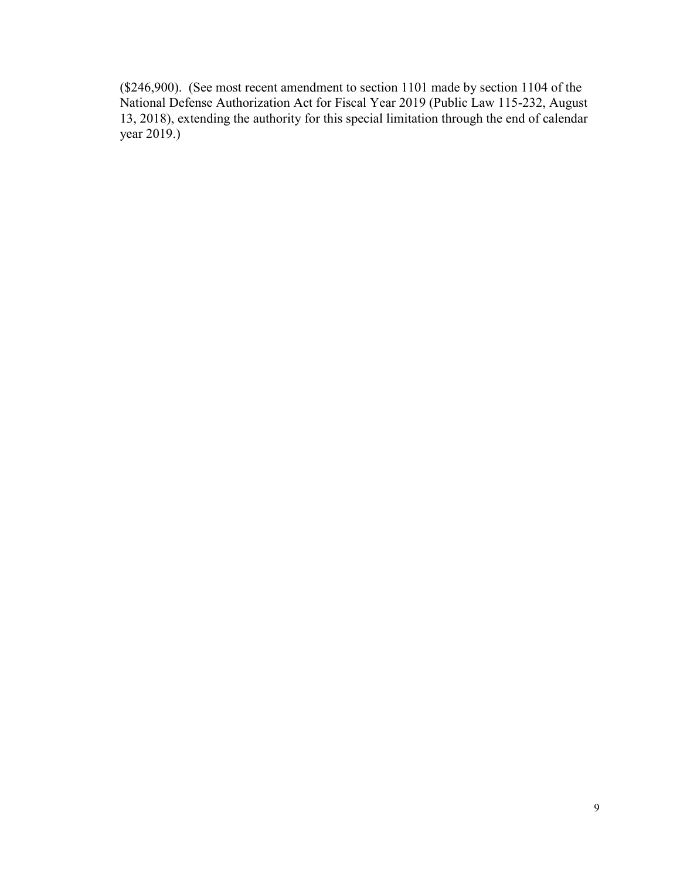(\$246,900). (See most recent amendment to section 1101 made by section 1104 of the National Defense Authorization Act for Fiscal Year 2019 (Public Law 115-232, August 13, 2018), extending the authority for this special limitation through the end of calendar year 2019.)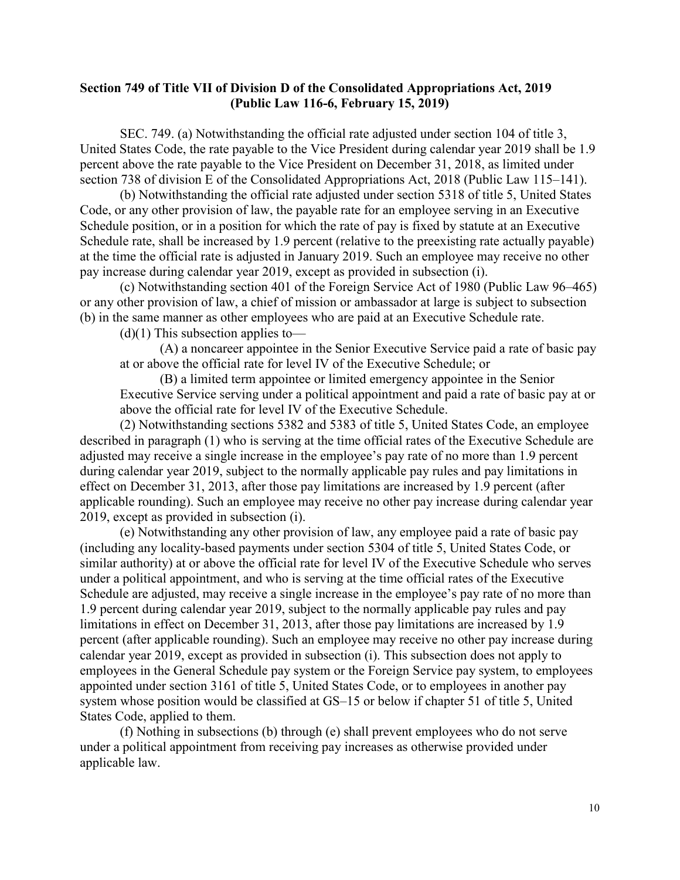#### **Section 749 of Title VII of Division D of the Consolidated Appropriations Act, 2019 (Public Law 116-6, February 15, 2019)**

 SEC. 749. (a) Notwithstanding the official rate adjusted under section 104 of title 3, United States Code, the rate payable to the Vice President during calendar year 2019 shall be 1.9 percent above the rate payable to the Vice President on December 31, 2018, as limited under section 738 of division E of the Consolidated Appropriations Act, 2018 (Public Law 115–141).

 (b) Notwithstanding the official rate adjusted under section 5318 of title 5, United States Code, or any other provision of law, the payable rate for an employee serving in an Executive Schedule position, or in a position for which the rate of pay is fixed by statute at an Executive Schedule rate, shall be increased by 1.9 percent (relative to the preexisting rate actually payable) at the time the official rate is adjusted in January 2019. Such an employee may receive no other pay increase during calendar year 2019, except as provided in subsection (i).

 (c) Notwithstanding section 401 of the Foreign Service Act of 1980 (Public Law 96–465) or any other provision of law, a chief of mission or ambassador at large is subject to subsection (b) in the same manner as other employees who are paid at an Executive Schedule rate.

 $(d)(1)$  This subsection applies to—

 (A) a noncareer appointee in the Senior Executive Service paid a rate of basic pay at or above the official rate for level IV of the Executive Schedule; or

 (B) a limited term appointee or limited emergency appointee in the Senior Executive Service serving under a political appointment and paid a rate of basic pay at or above the official rate for level IV of the Executive Schedule.

 (2) Notwithstanding sections 5382 and 5383 of title 5, United States Code, an employee described in paragraph (1) who is serving at the time official rates of the Executive Schedule are adjusted may receive a single increase in the employee's pay rate of no more than 1.9 percent during calendar year 2019, subject to the normally applicable pay rules and pay limitations in effect on December 31, 2013, after those pay limitations are increased by 1.9 percent (after applicable rounding). Such an employee may receive no other pay increase during calendar year 2019, except as provided in subsection (i).

 (e) Notwithstanding any other provision of law, any employee paid a rate of basic pay (including any locality-based payments under section 5304 of title 5, United States Code, or similar authority) at or above the official rate for level IV of the Executive Schedule who serves under a political appointment, and who is serving at the time official rates of the Executive Schedule are adjusted, may receive a single increase in the employee's pay rate of no more than 1.9 percent during calendar year 2019, subject to the normally applicable pay rules and pay limitations in effect on December 31, 2013, after those pay limitations are increased by 1.9 percent (after applicable rounding). Such an employee may receive no other pay increase during calendar year 2019, except as provided in subsection (i). This subsection does not apply to employees in the General Schedule pay system or the Foreign Service pay system, to employees appointed under section 3161 of title 5, United States Code, or to employees in another pay system whose position would be classified at GS–15 or below if chapter 51 of title 5, United States Code, applied to them.

 (f) Nothing in subsections (b) through (e) shall prevent employees who do not serve under a political appointment from receiving pay increases as otherwise provided under applicable law.